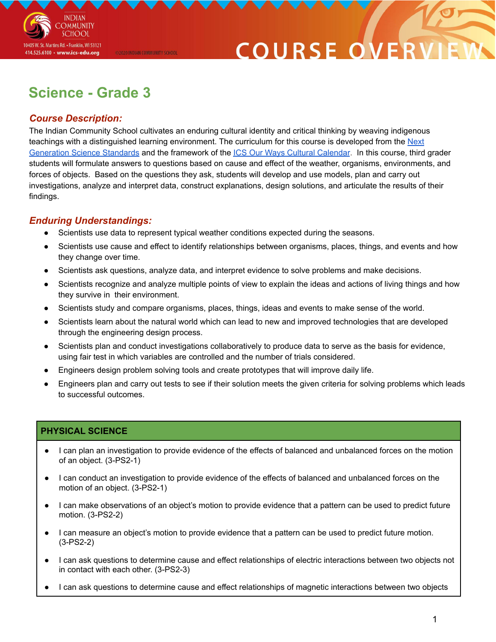

# COURSE O

## **Science - Grade 3**

@2020 INDIAN COMMUNITY SCHOOL

### *Course Description:*

The Indian Community School cultivates an enduring cultural identity and critical thinking by weaving indigenous teachings with a distinguished learning environment. The curriculum for this course is developed from the [Next](https://www.nextgenscience.org/overview-topics) [Generation](https://www.nextgenscience.org/overview-topics) Science Standards and the framework of the ICS Our Ways Cultural [Calendar](https://drive.google.com/open?id=0B7pONXiRIufTT3VHOXBBeG9USHMzbDNIUi1nV0NTbURCMFRZ). In this course, third grader students will formulate answers to questions based on cause and effect of the weather, organisms, environments, and forces of objects. Based on the questions they ask, students will develop and use models, plan and carry out investigations, analyze and interpret data, construct explanations, design solutions, and articulate the results of their findings.

### *Enduring Understandings:*

- Scientists use data to represent typical weather conditions expected during the seasons.
- Scientists use cause and effect to identify relationships between organisms, places, things, and events and how they change over time.
- Scientists ask questions, analyze data, and interpret evidence to solve problems and make decisions.
- Scientists recognize and analyze multiple points of view to explain the ideas and actions of living things and how they survive in their environment.
- Scientists study and compare organisms, places, things, ideas and events to make sense of the world.
- Scientists learn about the natural world which can lead to new and improved technologies that are developed through the engineering design process.
- Scientists plan and conduct investigations collaboratively to produce data to serve as the basis for evidence, using fair test in which variables are controlled and the number of trials considered.
- Engineers design problem solving tools and create prototypes that will improve daily life.
- Engineers plan and carry out tests to see if their solution meets the given criteria for solving problems which leads to successful outcomes.

#### **PHYSICAL SCIENCE**

- I can plan an investigation to provide evidence of the effects of balanced and unbalanced forces on the motion of an object. (3-PS2-1)
- I can conduct an investigation to provide evidence of the effects of balanced and unbalanced forces on the motion of an object. (3-PS2-1)
- I can make observations of an object's motion to provide evidence that a pattern can be used to predict future motion. (3-PS2-2)
- I can measure an object's motion to provide evidence that a pattern can be used to predict future motion. (3-PS2-2)
- I can ask questions to determine cause and effect relationships of electric interactions between two objects not in contact with each other. (3-PS2-3)
- I can ask questions to determine cause and effect relationships of magnetic interactions between two objects